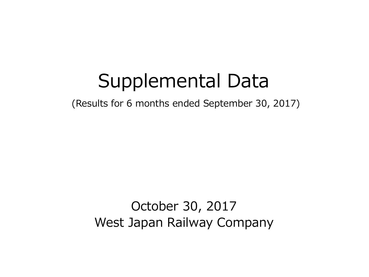# Supplemental Data

(Results for 6 months ended September 30, 2017)

October 30, 2017 West Japan Railway Company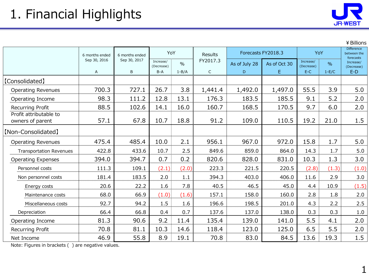

¥Billions

|                                                   | 6 months ended | 6 months ended | YoY                     |               | Results      | Forecasts FY2018.3 |              | YoY                     |         | <b>Difference</b><br>between the<br>forecasts |
|---------------------------------------------------|----------------|----------------|-------------------------|---------------|--------------|--------------------|--------------|-------------------------|---------|-----------------------------------------------|
|                                                   | Sep 30, 2016   | Sep 30, 2017   | Increase/<br>(Decrease) | $\frac{0}{0}$ | FY2017.3     | As of July 28      | As of Oct 30 | Increase/<br>(Decrease) | $\%$    | Increase/<br>(Decrease)                       |
|                                                   | A              | B              | $B-A$                   | $1 - B/A$     | $\mathsf{C}$ | D                  | E.           | $E-C$                   | $1-E/C$ | $E-D$                                         |
| <b>[Consolidated]</b>                             |                |                |                         |               |              |                    |              |                         |         |                                               |
| <b>Operating Revenues</b>                         | 700.3          | 727.1          | 26.7                    | 3.8           | 1,441.4      | 1,492.0            | 1,497.0      | 55.5                    | 3.9     | 5.0                                           |
| Operating Income                                  | 98.3           | 111.2          | 12.8                    | 13.1          | 176.3        | 183.5              | 185.5        | 9.1                     | 5.2     | 2.0                                           |
| Recurring Profit                                  | 88.5           | 102.6          | 14.1                    | 16.0          | 160.7        | 168.5              | 170.5        | 9.7                     | 6.0     | 2.0                                           |
| Profit attributable to<br>owners of parent        | 57.1           | 67.8           | 10.7                    | 18.8          | 91.2         | 109.0              | 110.5        | 19.2                    | 21.0    | 1.5                                           |
| [Non-Consolidated]                                |                |                |                         |               |              |                    |              |                         |         |                                               |
| <b>Operating Revenues</b>                         | 475.4          | 485.4          | 10.0                    | 2.1           | 956.1        | 967.0              | 972.0        | 15.8                    | 1.7     | 5.0                                           |
| <b>Transportation Revenues</b>                    | 422.8          | 433.6          | 10.7                    | 2.5           | 849.6        | 859.0              | 864.0        | 14.3                    | 1.7     | 5.0                                           |
| <b>Operating Expenses</b>                         | 394.0          | 394.7          | 0.7                     | 0.2           | 820.6        | 828.0              | 831.0        | 10.3                    | 1.3     | 3.0                                           |
| Personnel costs                                   | 111.3          | 109.1          | (2.1)                   | (2.0)         | 223.3        | 221.5              | 220.5        | (2.8)                   | (1.3)   | (1.0)                                         |
| Non personnel costs                               | 181.4          | 183.5          | 2.0                     | 1.1           | 394.3        | 403.0              | 406.0        | 11.6                    | 2.9     | 3.0                                           |
| Energy costs                                      | 20.6           | 22.2           | 1.6                     | 7.8           | 40.5         | 46.5               | 45.0         | 4.4                     | 10.9    | (1.5)                                         |
| Maintenance costs                                 | 68.0           | 66.9           | (1.0)                   | (1.6)         | 157.1        | 158.0              | 160.0        | 2.8                     | 1.8     | 2.0                                           |
| Miscellaneous costs                               | 92.7           | 94.2           | 1.5                     | 1.6           | 196.6        | 198.5              | 201.0        | 4.3                     | 2.2     | 2.5                                           |
| Depreciation                                      | 66.4           | 66.8           | 0.4                     | 0.7           | 137.6        | 137.0              | 138.0        | 0.3                     | 0.3     | 1.0                                           |
| Operating Income                                  | 81.3           | 90.6           | 9.2                     | 11.4          | 135.4        | 139.0              | 141.0        | 5.5                     | 4.1     | 2.0                                           |
| Recurring Profit                                  | 70.8           | 81.1           | 10.3                    | 14.6          | 118.4        | 123.0              | 125.0        | 6.5                     | 5.5     | 2.0                                           |
| Net Income                                        | 46.9           | 55.8           | 8.9                     | 19.1          | 70.8         | 83.0               | 84.5         | 13.6                    | 19.3    | 1.5                                           |
| Note: Figures in brackets () are negative values. |                |                |                         |               |              |                    |              |                         |         |                                               |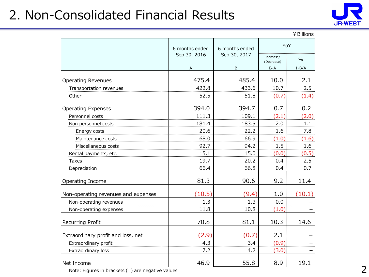### 2. Non-Consolidated Financial Results



|                                     |                |                |                         | ¥ Billions    |
|-------------------------------------|----------------|----------------|-------------------------|---------------|
|                                     | 6 months ended | 6 months ended | YoY                     |               |
|                                     | Sep 30, 2016   | Sep 30, 2017   | Increase/<br>(Decrease) | $\frac{0}{0}$ |
|                                     | Α              | B              | B-A                     | $1 - B/A$     |
| <b>Operating Revenues</b>           | 475.4          | 485.4          | 10.0                    | 2.1           |
| Transportation revenues             | 422.8          | 433.6          | 10.7                    | 2.5           |
| Other                               | 52.5           | 51.8           | (0.7)                   | (1.4)         |
| <b>Operating Expenses</b>           | 394.0          | 394.7          | 0.7                     | 0.2           |
| Personnel costs                     | 111.3          | 109.1          | (2.1)                   | (2.0)         |
| Non personnel costs                 | 181.4          | 183.5          | 2.0                     | 1.1           |
| Energy costs                        | 20.6           | 22.2           | 1.6                     | 7.8           |
| Maintenance costs                   | 68.0           | 66.9           | (1.0)                   | (1.6)         |
| Miscellaneous costs                 | 92.7           | 94.2           | 1.5                     | 1.6           |
| Rental payments, etc.               | 15.1           | 15.0           | (0.0)                   | (0.5)         |
| <b>Taxes</b>                        | 19.7           | 20.2           | 0.4                     | 2.5           |
| Depreciation                        | 66.4           | 66.8           | 0.4                     | 0.7           |
| Operating Income                    | 81.3           | 90.6           | 9.2                     | 11.4          |
| Non-operating revenues and expenses | (10.5)         | (9.4)          | 1.0                     | (10.1)        |
| Non-operating revenues              | 1.3            | 1.3            | 0.0                     |               |
| Non-operating expenses              | 11.8           | 10.8           | (1.0)                   |               |
| Recurring Profit                    | 70.8           | 81.1           | 10.3                    | 14.6          |
| Extraordinary profit and loss, net  | (2.9)          | (0.7)          | 2.1                     |               |
| Extraordinary profit                | 4.3            | 3.4            | (0.9)                   |               |
| Extraordinary loss                  | 7.2            | 4.2            | (3.0)                   |               |
| Net Income                          | 46.9           | 55.8           | 8.9                     | 19.1          |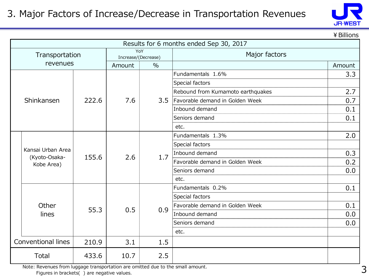#### 3. Major Factors of Increase/Decrease in Transportation Revenues



¥Billions

|  | Results for 6 months ended Sep 30, 2017          |       |                     |               |                                   |        |  |  |  |  |
|--|--------------------------------------------------|-------|---------------------|---------------|-----------------------------------|--------|--|--|--|--|
|  | Transportation                                   |       | Increase/(Decrease) | YoY           | Major factors                     |        |  |  |  |  |
|  | revenues                                         |       | Amount              | $\frac{0}{0}$ |                                   | Amount |  |  |  |  |
|  |                                                  |       |                     |               | Fundamentals 1.6%                 | 3.3    |  |  |  |  |
|  |                                                  |       |                     |               | Special factors                   |        |  |  |  |  |
|  |                                                  |       |                     |               | Rebound from Kumamoto earthquakes | 2.7    |  |  |  |  |
|  | Shinkansen                                       | 222.6 | 7.6                 | 3.5           | Favorable demand in Golden Week   | 0.7    |  |  |  |  |
|  |                                                  |       |                     |               | Inbound demand                    | 0.1    |  |  |  |  |
|  |                                                  |       |                     |               | Seniors demand                    | 0.1    |  |  |  |  |
|  |                                                  |       |                     |               | etc.                              |        |  |  |  |  |
|  |                                                  | 155.6 | 2.6                 | 1.7           | Fundamentals 1.3%                 | 2.0    |  |  |  |  |
|  | Kansai Urban Area<br>(Kyoto-Osaka-<br>Kobe Area) |       |                     |               | Special factors                   |        |  |  |  |  |
|  |                                                  |       |                     |               | Inbound demand                    | 0.3    |  |  |  |  |
|  |                                                  |       |                     |               | Favorable demand in Golden Week   | 0.2    |  |  |  |  |
|  |                                                  |       |                     |               | Seniors demand                    | 0.0    |  |  |  |  |
|  |                                                  |       |                     |               | etc.                              |        |  |  |  |  |
|  |                                                  |       |                     |               | Fundamentals 0.2%                 | 0.1    |  |  |  |  |
|  |                                                  |       |                     |               | Special factors                   |        |  |  |  |  |
|  | Other                                            | 55.3  | 0.5                 | 0.9           | Favorable demand in Golden Week   | 0.1    |  |  |  |  |
|  | lines                                            |       |                     |               | Inbound demand                    | 0.0    |  |  |  |  |
|  |                                                  |       |                     |               | Seniors demand                    | 0.0    |  |  |  |  |
|  |                                                  |       |                     |               | etc.                              |        |  |  |  |  |
|  | <b>Conventional lines</b>                        | 210.9 | 3.1                 | 1.5           |                                   |        |  |  |  |  |
|  | <b>Total</b>                                     | 433.6 | 10.7                | 2.5           |                                   |        |  |  |  |  |

Note: Revenues from luggage transportation are omitted due to the small amount.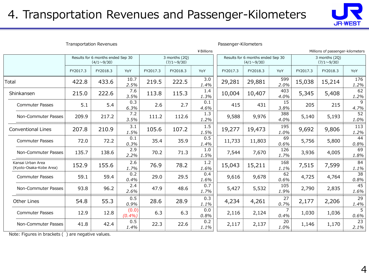### 4. Transportation Revenues and Passenger-Kilometers



| <b>Transportation Revenues</b>               |            |                                                        |                 |          |                                    |             | Passenger-Kilometers                                   |          |             |                                    |                                  |                         |
|----------------------------------------------|------------|--------------------------------------------------------|-----------------|----------|------------------------------------|-------------|--------------------------------------------------------|----------|-------------|------------------------------------|----------------------------------|-------------------------|
|                                              | ¥ Billions |                                                        |                 |          |                                    |             |                                                        |          |             |                                    | Millions of passenger-kilometers |                         |
|                                              |            | Results for 6 months ended Sep 30<br>$(4/1 \sim 9/30)$ |                 |          | 3 months (2Q)<br>$(7/1 \sim 9/30)$ |             | Results for 6 months ended Sep 30<br>$(4/1 \sim 9/30)$ |          |             | 3 months (2Q)<br>$(7/1 \sim 9/30)$ |                                  |                         |
|                                              | FY2017.3   | FY2018.3                                               | YoY             | FY2017.3 | FY2018.3                           | YoY         | FY2017.3                                               | FY2018.3 | YoY         | FY2017.3                           | FY2018.3                         | YoY                     |
| otal                                         | 422.8      | 433.6                                                  | 10.7<br>2.5%    | 219.5    | 222.5                              | 3.0<br>1.4% | 29,281                                                 | 29,881   | 599<br>2.0% | 15,038                             | 15,214                           | 176<br>1.2%             |
| Shinkansen                                   | 215.0      | 222.6                                                  | 7.6<br>3.5%     | 113.8    | 115.3                              | 1.4<br>1.3% | 10,004                                                 | 10,407   | 403<br>4.0% | 5,345                              | 5,408                            | 62<br>1.2%              |
| <b>Commuter Passes</b>                       | 5.1        | 5.4                                                    | 0.3<br>6.3%     | 2.6      | 2.7                                | 0.1<br>4.6% | 415                                                    | 431      | 15<br>3.8%  | 205                                | 215                              | 9<br>4.7%               |
| Non-Commuter Passes                          | 209.9      | 217.2                                                  | 7.2<br>3.5%     | 111.2    | 112.6                              | 1.3<br>1.2% | 9,588                                                  | 9,976    | 388<br>4.0% | 5,140                              | 5,193                            | 52<br>1.0%              |
| <b>Conventional Lines</b>                    | 207.8      | 210.9                                                  | 3.1<br>1.5%     | 105.6    | 107.2                              | 1.5<br>1.5% | 19,277                                                 | 19,473   | 195<br>1.0% | 9,692                              | 9,806                            | 113<br>1.2%             |
| <b>Commuter Passes</b>                       | 72.0       | 72.2                                                   | 0.1<br>0.3%     | 35.4     | 35.9                               | 0.5<br>1.4% | 11,733                                                 | 11,803   | 69<br>0.6%  | 5,756                              | 5,800                            | 44<br>0.8%              |
| Non-Commuter Passes                          | 135.7      | 138.6                                                  | 2.9<br>2.2%     | 70.2     | 71.3                               | 1.0<br>1.5% | 7,544                                                  | 7,670    | 126<br>1.7% | 3,936                              | 4,005                            | 69<br>1.8%              |
| Kansai Urban Area<br>(Kyoto-Osaka-Kobe Area) | 152.9      | 155.6                                                  | 2.6<br>1.7%     | 76.9     | 78.2                               | 1.2<br>1.6% | 15,043                                                 | 15,211   | 168<br>1.1% | 7,515                              | 7,599                            | 84<br>1.1%              |
| <b>Commuter Passes</b>                       | 59.1       | 59.4                                                   | 0.2<br>0.4%     | 29.0     | 29.5                               | 0.4<br>1.6% | 9,616                                                  | 9,678    | 62<br>0.6%  | 4,725                              | 4,764                            | $\overline{38}$<br>0.8% |
| Non-Commuter Passes                          | 93.8       | 96.2                                                   | 2.4<br>2.6%     | 47.9     | 48.6                               | 0.7<br>1.7% | 5,427                                                  | 5,532    | 105<br>1.9% | 2,790                              | 2,835                            | 45<br>1.6%              |
| Other Lines                                  | 54.8       | 55.3                                                   | 0.5<br>0.9%     | 28.6     | 28.9                               | 0.3<br>1.1% | 4,234                                                  | 4,261    | 27<br>0.7%  | 2,177                              | 2,206                            | 29<br>1.4%              |
| <b>Commuter Passes</b>                       | 12.9       | 12.8                                                   | (0.0)<br>(0.4%) | 6.3      | 6.3                                | 0.0<br>0.8% | 2,116                                                  | 2,124    | 7<br>0.4%   | 1,030                              | 1,036                            | 5<br>0.6%               |
| Non-Commuter Passes                          | 41.8       | 42.4                                                   | 0.5<br>1.4%     | 22.3     | 22.6                               | 0.2<br>1.1% | 2,117                                                  | 2,137    | 20<br>1.0%  | 1,146                              | 1,170                            | 23<br>2.1%              |

Note: Figures in brackets ( ) are negative values.

I٦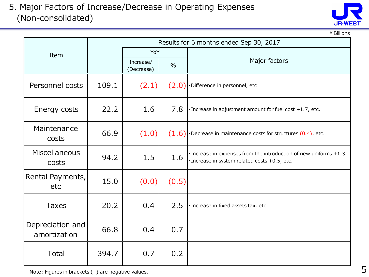#### 5. Major Factors of Increase/Decrease in Operating Expenses (Non-consolidated)



¥Billions

|                                  |       |                                          |       | Results for 6 months ended Sep 30, 2017                                                                            |  |  |
|----------------------------------|-------|------------------------------------------|-------|--------------------------------------------------------------------------------------------------------------------|--|--|
| Item                             |       | YoY                                      |       |                                                                                                                    |  |  |
|                                  |       | Increase/<br>$\frac{0}{0}$<br>(Decrease) |       | Major factors                                                                                                      |  |  |
| Personnel costs                  | 109.1 | (2.1)                                    | (2.0) | ·Difference in personnel, etc                                                                                      |  |  |
| Energy costs                     | 22.2  | 1.6                                      | 7.8   | · Increase in adjustment amount for fuel cost +1.7, etc.                                                           |  |  |
| Maintenance<br>costs             | 66.9  | (1.0)                                    |       | $(1.6)$ . Decrease in maintenance costs for structures (0.4), etc.                                                 |  |  |
| Miscellaneous<br>costs           | 94.2  | 1.5                                      | 1.6   | · Increase in expenses from the introduction of new uniforms +1.3<br>· Increase in system related costs +0.5, etc. |  |  |
| Rental Payments,<br>etc          | 15.0  | (0.0)                                    | (0.5) |                                                                                                                    |  |  |
| <b>Taxes</b>                     | 20.2  | 0.4                                      | 2.5   | · Increase in fixed assets tax, etc.                                                                               |  |  |
| Depreciation and<br>amortization | 66.8  | 0.4                                      | 0.7   |                                                                                                                    |  |  |
| Total                            | 394.7 | 0.7                                      | 0.2   |                                                                                                                    |  |  |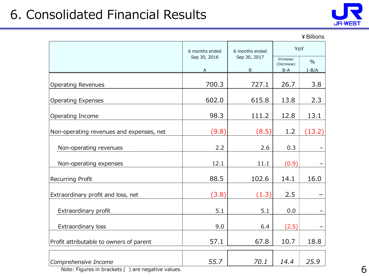## 6. Consolidated Financial Results



| ¥ Billions |  |
|------------|--|
|------------|--|

|                                          | 6 months ended    | 6 months ended                 | YoY                              |                          |  |
|------------------------------------------|-------------------|--------------------------------|----------------------------------|--------------------------|--|
|                                          | Sep 30, 2016<br>Α | Sep 30, 2017<br>$\overline{B}$ | Increase/<br>(Decrease)<br>$B-A$ | $\frac{0}{0}$<br>$1-B/A$ |  |
| <b>Operating Revenues</b>                | 700.3             | 727.1                          | 26.7                             | 3.8                      |  |
| <b>Operating Expenses</b>                | 602.0             | 615.8                          | 13.8                             | 2.3                      |  |
| Operating Income                         | 98.3              | 111.2                          | 12.8                             | 13.1                     |  |
| Non-operating revenues and expenses, net | (9.8)             | (8.5)                          | 1.2                              | (13.2)                   |  |
| Non-operating revenues                   | 2.2               | 2.6                            | 0.3                              |                          |  |
| Non-operating expenses                   | 12.1              | 11.1                           | (0.9)                            |                          |  |
| <b>Recurring Profit</b>                  | 88.5              | 102.6                          | 14.1                             | 16.0                     |  |
| Extraordinary profit and loss, net       | (3.8)             | (1.3)                          | 2.5                              |                          |  |
| Extraordinary profit                     | 5.1               | 5.1                            | 0.0                              |                          |  |
| Extraordinary loss                       | 9.0               | 6.4                            | (2.5)                            |                          |  |
| Profit attributable to owners of parent  | 57.1              | 67.8                           | 10.7                             | 18.8                     |  |
| Comprehensive Income                     | 55.7              | 70.1                           | 14.4                             | 25.9                     |  |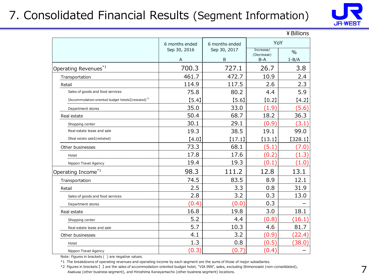### 7. Consolidated Financial Results (Segment Information)



|                                                                |                |                |                         | ≄ DIIIIONS |  |  |
|----------------------------------------------------------------|----------------|----------------|-------------------------|------------|--|--|
|                                                                | 6 months ended | 6 months ended | YoY                     |            |  |  |
|                                                                | Sep 30, 2016   | Sep 30, 2017   | Increase/<br>(Decrease) | $\%$       |  |  |
|                                                                | Α              | B              | B-A                     | $1 - B/A$  |  |  |
| Operating Revenues*1                                           | 700.3          | 727.1          | 26.7                    | 3.8        |  |  |
| Transportation                                                 | 461.7          | 472.7          | 10.9                    | 2.4        |  |  |
| Retail                                                         | 114.9          | 117.5          | 2.6                     | 2.3        |  |  |
| Sales of goods and food services                               | 75.8           | 80.2           | 4.4                     | 5.9        |  |  |
| [Accommodation-oriented budget hotels](restated) <sup>*2</sup> | [5.4]          | [5.6]          | [0.2]                   | [4.2]      |  |  |
| Department stores                                              | 35.0           | 33.0           | (1.9)                   | (5.6)      |  |  |
| Real estate                                                    | 50.4           | 68.7           | 18.2                    | 36.3       |  |  |
| Shopping center                                                | 30.1           | 29.1           | (0.9)                   | (3.1)      |  |  |
| Real estate lease and sale                                     | 19.3           | 38.5           | 19.1                    | 99.0       |  |  |
| [Real estate sale](restated)                                   | [4.0]          | [17.1]         | [13.1]                  | [328.1]    |  |  |
| Other businesses                                               | 73.3           | 68.1           | (5.1)                   | (7.0)      |  |  |
| Hotel                                                          | 17.8           | 17.6           | (0.2)                   | (1.3)      |  |  |
| Nippon Travel Agency                                           | 19.4           | 19.3           | (0.1)                   | (1.0)      |  |  |
| Operating Income*1                                             | 98.3           | 111.2          | 12.8                    | 13.1       |  |  |
| Transportation                                                 | 74.5           | 83.5           | 8.9                     | 12.1       |  |  |
| Retail                                                         | 2.5            | 3.3            | 0.8                     | 31.9       |  |  |
| Sales of goods and food services                               | 2.8            | 3.2            | 0.3                     | 13.0       |  |  |
| Department stores                                              | (0.4)          | (0.0)          | 0.3                     |            |  |  |
| Real estate                                                    | 16.8           | 19.8           | 3.0                     | 18.1       |  |  |
| Shopping center                                                | 5.2            | 4.4            | (0.8)                   | (16.1)     |  |  |
| Real estate lease and sale                                     | 5.7            | 10.3           | 4.6                     | 81.7       |  |  |
| Other businesses                                               | 4.1            | 3.2            | (0.9)                   | (22.4)     |  |  |
| Hotel                                                          | 1.3            | 0.8            | (0.5)                   | (38.0)     |  |  |
| Nippon Travel Agency                                           | (0.3)          | (0.7)          | (0.4)                   |            |  |  |

 $V$  Dilli

Note: Figures in brackets ( ) are negative values.

\*1 The breakdowns of operating revenues and operating income by each segment are the sums of those of major subsidiaries.

\*2 Figures in brackets 【 】 are the sales of accommodation-oriented budget hotel, "VIA INN", sales, excluding Shimonoseki (non-consolidated), Asakusa (other business segment), and Hiroshima Kanayamacho (other business segment) locations.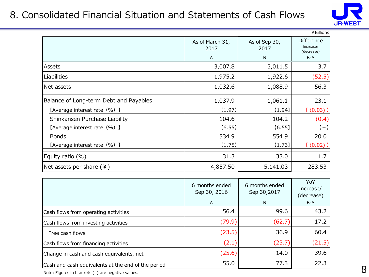#### 8. Consolidated Financial Situation and Statements of Cash Flows



|                                        |                                                  |          | ¥ Billions |  |  |
|----------------------------------------|--------------------------------------------------|----------|------------|--|--|
|                                        | As of March 31,<br>As of Sep 30,<br>2017<br>2017 |          |            |  |  |
|                                        | A                                                | B        | B-A        |  |  |
| Assets                                 | 3,007.8                                          | 3,011.5  | 3.7        |  |  |
| <b>Liabilities</b>                     | 1,975.2                                          | 1,922.6  | (52.5)     |  |  |
| Net assets                             | 1,032.6                                          | 1,088.9  | 56.3       |  |  |
| Balance of Long-term Debt and Payables | 1,037.9                                          | 1,061.1  | 23.1       |  |  |
| [Average interest rate (%) ]           | $[1.97]$                                         | [1.94]   | $(0.03)$ ] |  |  |
| Shinkansen Purchase Liability          | 104.6                                            | 104.2    | (0.4)      |  |  |
| [Average interest rate (%) ]           | [6.55]                                           | [6.55]   | $[-]$      |  |  |
| <b>Bonds</b>                           | 534.9                                            | 554.9    | 20.0       |  |  |
| [Average interest rate (%) ]           | [1.75]                                           | $[1.73]$ | $(0.02)$ ] |  |  |
| Equity ratio (%)                       | 31.3                                             | 33.0     | 1.7        |  |  |
| Net assets per share $(4)$             | 4,857.50                                         | 5,141.03 | 283.53     |  |  |

|                                                    | 6 months ended<br>Sep 30, 2016<br>A | 6 months ended<br>Sep 30,2017<br>B | YoY<br>increase/<br>(decrease)<br>B-A |
|----------------------------------------------------|-------------------------------------|------------------------------------|---------------------------------------|
| Cash flows from operating activities               | 56.4                                | 99.6                               | 43.2                                  |
| Cash flows from investing activities               | (79.9)                              | (62.7)                             | 17.2                                  |
| Free cash flows                                    | (23.5)                              | 36.9                               | 60.4                                  |
| Cash flows from financing activities               | (2.1)                               | (23.7)                             | (21.5)                                |
| Change in cash and cash equivalents, net           | (25.6)                              | 14.0                               | 39.6                                  |
| Cash and cash equivalents at the end of the period | 55.0                                | 77.3                               | 22.3                                  |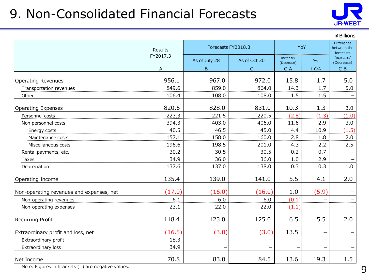## 9. Non-Consolidated Financial Forecasts



¥Billions

|                                          | <b>Results</b> | Forecasts FY2018.3 |              | YoY                     |               | <b>Difference</b><br>between the<br>forecasts |  |
|------------------------------------------|----------------|--------------------|--------------|-------------------------|---------------|-----------------------------------------------|--|
|                                          | FY2017.3       | As of July 28      | As of Oct 30 | Increase/<br>(Decrease) | $\frac{0}{0}$ | Increase/<br>(Decrease)                       |  |
|                                          | A              | B                  | $\subset$    | $C-A$                   | $1-C/A$       | $C-B$                                         |  |
| <b>Operating Revenues</b>                | 956.1          | 967.0              | 972.0        | 15.8                    | 1.7           | 5.0                                           |  |
| Transportation revenues                  | 849.6          | 859.0              | 864.0        | 14.3                    | 1.7           | 5.0                                           |  |
| Other                                    | 106.4          | 108.0              | 108.0        | 1.5                     | 1.5           |                                               |  |
| <b>Operating Expenses</b>                | 820.6          | 828.0              | 831.0        | 10.3                    | 1.3           | 3.0                                           |  |
| Personnel costs                          | 223.3          | 221.5              | 220.5        | (2.8)                   | (1.3)         | (1.0)                                         |  |
| Non personnel costs                      | 394.3          | 403.0              | 406.0        | 11.6                    | 2.9           | 3.0                                           |  |
| Energy costs                             | 40.5           | 46.5               | 45.0         | 4.4                     | 10.9          | (1.5)                                         |  |
| Maintenance costs                        | 157.1          | 158.0              | 160.0        | 2.8                     | 1.8           | 2.0                                           |  |
| Miscellaneous costs                      | 196.6          | 198.5              | 201.0        | 4.3                     | 2.2           | 2.5                                           |  |
| Rental payments, etc.                    | 30.2           | 30.5               | 30.5         | 0.2                     | 0.7           |                                               |  |
| Taxes                                    | 34.9           | 36.0               | 36.0         | 1.0                     | 2.9           |                                               |  |
| Depreciation                             | 137.6          | 137.0              | 138.0        | 0.3                     | 0.3           | $1.0\,$                                       |  |
| Operating Income                         | 135.4          | 139.0              | 141.0        | 5.5                     | 4.1           | 2.0                                           |  |
| Non-operating revenues and expenses, net | (17.0)         | (16.0)             | (16.0)       | 1.0                     | (5.9)         |                                               |  |
| Non-operating revenues                   | 6.1            | 6.0                | 6.0          | (0.1)                   |               |                                               |  |
| Non-operating expenses                   | 23.1           | 22.0               | 22.0         | (1.1)                   | -             |                                               |  |
| Recurring Profit                         | 118.4          | 123.0              | 125.0        | 6.5                     | 5.5           | 2.0                                           |  |
| Extraordinary profit and loss, net       | (16.5)         | (3.0)              | (3.0)        | 13.5                    |               |                                               |  |
| Extraordinary profit                     | 18.3           |                    |              |                         |               |                                               |  |
| Extraordinary loss                       | 34.9           |                    |              |                         |               |                                               |  |
| Net Income                               | 70.8           | 83.0               | 84.5         | 13.6                    | 19.3          | 1.5                                           |  |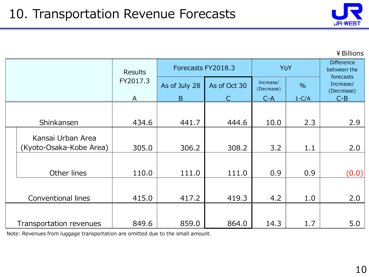

¥Billions

|                           | <b>Results</b> |               | Forecasts FY2018.3 |                         | YoY           | <b>Difference</b><br>between the     |
|---------------------------|----------------|---------------|--------------------|-------------------------|---------------|--------------------------------------|
|                           | FY2017.3       | As of July 28 | As of Oct 30       | Increase/<br>(Decrease) | $\frac{0}{0}$ | forecasts<br>Increase/<br>(Decrease) |
|                           | $\mathsf{A}$   | B             | C                  | $C-A$                   | $1-C/A$       | $C-B$                                |
|                           |                |               |                    |                         |               |                                      |
| Shinkansen                | 434.6          | 441.7         | 444.6              | 10.0                    | 2.3           | 2.9                                  |
| Kansai Urban Area         |                |               |                    |                         |               |                                      |
| (Kyoto-Osaka-Kobe Area)   | 305.0          | 306.2         | 308.2              | 3.2                     | 1.1           | 2.0                                  |
| Other lines               | 110.0          | 111.0         | 111.0              | 0.9                     | 0.9           | (0.0)                                |
| <b>Conventional lines</b> | 415.0          | 417.2         | 419.3              | 4.2                     | 1.0           | 2.0                                  |
| Transportation revenues   | 849.6          | 859.0         | 864.0              | 14.3                    | 1.7           | 5.0                                  |

Note: Revenues from luggage transportation are omitted due to the small amount.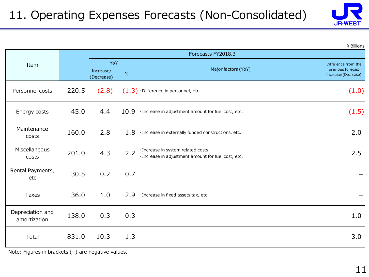

¥Billions

|                                  |       |                                |       | Forecasts FY2018.3                                                                        |                                                                 |  |  |  |
|----------------------------------|-------|--------------------------------|-------|-------------------------------------------------------------------------------------------|-----------------------------------------------------------------|--|--|--|
| Item                             |       | YoY<br>Increase/<br>(Decrease) | $\%$  | Major factors (YoY)                                                                       | Difference from the<br>previous forecast<br>Increase/(Decrease) |  |  |  |
| Personnel costs                  | 220.5 | (2.8)                          | (1.3) | ·Difference in personnel, etc                                                             | (1.0)                                                           |  |  |  |
| Energy costs                     | 45.0  | 4.4                            | 10.9  | · Increase in adjustment amount for fuel cost, etc.                                       | (1.5)                                                           |  |  |  |
| Maintenance<br>costs             | 160.0 | 2.8                            | 1.8   | · Increase in externally funded constructions, etc.                                       | 2.0                                                             |  |  |  |
| Miscellaneous<br>costs           | 201.0 | 4.3                            | 2.2   | · Increase in system related costs<br>· Increase in adjustment amount for fuel cost, etc. | 2.5                                                             |  |  |  |
| Rental Payments,<br>etc          | 30.5  | 0.2                            | 0.7   |                                                                                           |                                                                 |  |  |  |
| <b>Taxes</b>                     | 36.0  | 1.0                            | 2.9   | · Increase in fixed assets tax, etc.                                                      | —                                                               |  |  |  |
| Depreciation and<br>amortization | 138.0 | 0.3                            | 0.3   |                                                                                           | 1.0                                                             |  |  |  |
| Total                            | 831.0 | 10.3                           | 1.3   |                                                                                           | 3.0                                                             |  |  |  |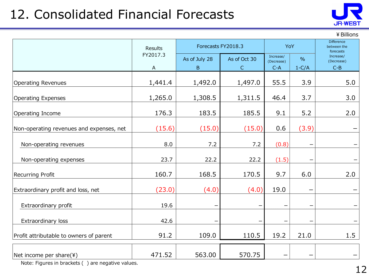## 12. Consolidated Financial Forecasts



#### ¥Billions

|                                                                                                               | Results                  | Forecasts FY2018.3  | YoY                          |                                                              | Difference<br>between the<br>forecasts |                                  |  |
|---------------------------------------------------------------------------------------------------------------|--------------------------|---------------------|------------------------------|--------------------------------------------------------------|----------------------------------------|----------------------------------|--|
|                                                                                                               | FY2017.3<br>$\mathsf{A}$ | As of July 28<br>B. | As of Oct 30<br>$\mathsf{C}$ | Increase/<br>$\frac{0}{0}$<br>(Decrease)<br>$1-C/A$<br>$C-A$ |                                        | Increase/<br>(Decrease)<br>$C-B$ |  |
| <b>Operating Revenues</b>                                                                                     | 1,441.4                  | 1,492.0             | 1,497.0                      | 55.5                                                         | 3.9                                    | 5.0                              |  |
| <b>Operating Expenses</b>                                                                                     | 1,265.0                  | 1,308.5             | 1,311.5                      | 46.4                                                         | 3.7                                    | 3.0                              |  |
| Operating Income                                                                                              | 176.3                    | 183.5               | 185.5                        | 9.1                                                          | 5.2                                    | 2.0                              |  |
| Non-operating revenues and expenses, net                                                                      | (15.6)                   | (15.0)              | (15.0)                       | 0.6                                                          | (3.9)                                  |                                  |  |
| Non-operating revenues                                                                                        | 8.0                      | 7.2                 | 7.2                          | (0.8)                                                        | $\overline{\phantom{m}}$               |                                  |  |
| Non-operating expenses                                                                                        | 23.7                     | 22.2                | 22.2                         | (1.5)                                                        |                                        |                                  |  |
| Recurring Profit                                                                                              | 160.7                    | 168.5               | 170.5                        | 9.7                                                          | 6.0                                    | 2.0                              |  |
| Extraordinary profit and loss, net                                                                            | (23.0)                   | (4.0)               | (4.0)                        | 19.0                                                         |                                        |                                  |  |
| Extraordinary profit                                                                                          | 19.6                     |                     |                              |                                                              |                                        |                                  |  |
| Extraordinary loss                                                                                            | 42.6                     |                     |                              |                                                              |                                        |                                  |  |
| Profit attributable to owners of parent                                                                       | 91.2                     | 109.0               | 110.5                        | 19.2                                                         | 21.0                                   | 1.5                              |  |
| Net income per share(¥)<br>Make $F(x)$ is a set in long strate $\ell$ . A give is a set in contract of $\ell$ | 471.52                   | 563.00              | 570.75                       |                                                              |                                        |                                  |  |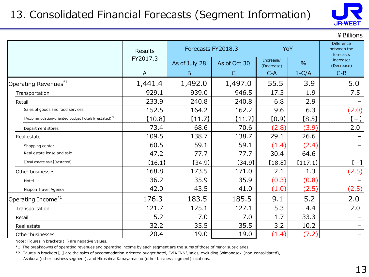### 13. Consolidated Financial Forecasts (Segment Information)



¥Billions

|                                                                | Results  | Forecasts FY2018.3 |              | YoY                     |               | <b>Difference</b><br>between the<br>forecasts |  |
|----------------------------------------------------------------|----------|--------------------|--------------|-------------------------|---------------|-----------------------------------------------|--|
|                                                                | FY2017.3 | As of July 28      | As of Oct 30 | Increase/<br>(Decrease) | $\frac{0}{0}$ | Increase/<br>(Decrease)                       |  |
|                                                                | A        | B                  | $\mathsf{C}$ | $C-A$                   | $1-C/A$       | $C-B$                                         |  |
| Operating Revenues <sup>*1</sup>                               | 1,441.4  | 1,492.0            | 1,497.0      | 55.5                    | 3.9           | 5.0                                           |  |
| Transportation                                                 | 929.1    | 939.0              | 946.5        | 17.3                    | 1.9           | 7.5                                           |  |
| Retail                                                         | 233.9    | 240.8              | 240.8        | 6.8                     | 2.9           |                                               |  |
| Sales of goods and food services                               | 152.5    | 164.2              | 162.2        | 9.6                     | 6.3           | (2.0)                                         |  |
| [Accommodation-oriented budget hotels](restated) <sup>*2</sup> | [10.8]   | $[11.7]$           | [11.7]       | [0.9]                   | [8.5]         | $(-)$                                         |  |
| Department stores                                              | 73.4     | 68.6               | 70.6         | (2.8)                   | (3.9)         | 2.0                                           |  |
| Real estate                                                    | 109.5    | 138.7              | 138.7        | 29.1                    | 26.6          |                                               |  |
| Shopping center                                                | 60.5     | 59.1               | 59.1         | (1.4)                   | (2.4)         |                                               |  |
| Real estate lease and sale                                     | 47.2     | 77.7               | 77.7         | 30.4                    | 64.6          |                                               |  |
| [Real estate sale](restated)                                   | [16.1]   | [34.9]             | [34.9]       | [18.8]                  | [117.1]       | $(-)$                                         |  |
| Other businesses                                               | 168.8    | 173.5              | 171.0        | 2.1                     | 1.3           | (2.5)                                         |  |
| Hotel                                                          | 36.2     | 35.9               | 35.9         | (0.3)                   | (0.8)         |                                               |  |
| Nippon Travel Agency                                           | 42.0     | 43.5               | 41.0         | (1.0)                   | (2.5)         | (2.5)                                         |  |
| Operating Income <sup>*1</sup>                                 | 176.3    | 183.5              | 185.5        | 9.1                     | 5.2           | 2.0                                           |  |
| Transportation                                                 | 121.7    | 125.1              | 127.1        | 5.3                     | 4.4           | 2.0                                           |  |
| Retail                                                         | 5.2      | 7.0                | 7.0          | 1.7                     | 33.3          |                                               |  |
| Real estate                                                    | 32.2     | 35.5               | 35.5         | 3.2                     | 10.2          |                                               |  |
| Other businesses                                               | 20.4     | 19.0               | 19.0         | (1.4)                   | (7.2)         |                                               |  |

Note: Figures in brackets ( ) are negative values.

\*1 The breakdowns of operating revenues and operating income by each segment are the sums of those of major subsidiaries.

\*2 Figures in brackets 【 】 are the sales of accommodation-oriented budget hotel, "VIA INN", sales, excluding Shimonoseki (non-consolidated), Asakusa (other business segment), and Hiroshima Kanayamacho (other business segment) locations.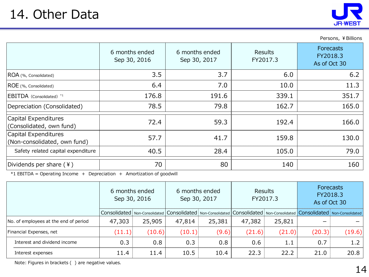Persons, ¥ Billions

|                                                      | 6 months ended<br>Sep 30, 2016 | 6 months ended<br>Sep 30, 2017 | <b>Results</b><br>FY2017.3 | <b>Forecasts</b><br>FY2018.3<br>As of Oct 30 |
|------------------------------------------------------|--------------------------------|--------------------------------|----------------------------|----------------------------------------------|
| ROA (%, Consolidated)                                | 3.5                            | 3.7                            | 6.0                        | 6.2                                          |
| ROE (%, Consolidated)                                | 6.4                            | 7.0                            | 10.0                       | 11.3                                         |
| EBITDA (Consolidated) *1                             | 176.8                          | 191.6                          | 339.1                      | 351.7                                        |
| Depreciation (Consolidated)                          | 78.5                           | 79.8                           | 162.7                      | 165.0                                        |
| Capital Expenditures<br>(Consolidated, own fund)     | 72.4                           | 59.3                           | 192.4                      | 166.0                                        |
| Capital Expenditures<br>(Non-consolidated, own fund) | 57.7                           | 41.7                           | 159.8                      | 130.0                                        |
| Safety related capital expenditure                   | 40.5                           | 28.4                           | 105.0                      | 79.0                                         |
| Dividends per share $(*)$                            | 70                             | 80                             | 140                        | 160                                          |

\*1 EBITDA = Operating Income + Depreciation + Amortization of goodwill

|                                       | 6 months ended<br>Sep 30, 2016 |        |        | 6 months ended<br>Sep 30, 2017                                                                                                        | <b>Results</b><br>FY2017.3 |        | <b>Forecasts</b><br>FY2018.3<br>As of Oct 30 |        |
|---------------------------------------|--------------------------------|--------|--------|---------------------------------------------------------------------------------------------------------------------------------------|----------------------------|--------|----------------------------------------------|--------|
|                                       |                                |        |        | Consolidated   Non-Consolidated   Consolidated   Non-Consolidated   Consolidated   Non-Consolidated   Consolidated   Non-Consolidated |                            |        |                                              |        |
| No. of employees at the end of period | 47,303                         | 25,905 | 47,814 | 25,381                                                                                                                                | 47,382                     | 25,821 |                                              |        |
| Financial Expenses, net               | (11.1)                         | (10.6) | (10.1) | (9.6)                                                                                                                                 | (21.6)                     | (21.0) | (20.3)                                       | (19.6) |
| Interest and dividend income          | 0.3                            | 0.8    | 0.3    | 0.8                                                                                                                                   | 0.6                        | 1.1    | 0.7                                          | 1.2    |
| Interest expenses                     | 11.4                           | 11.4   | 10.5   | 10.4                                                                                                                                  | 22.3                       | 22.2   | 21.0                                         | 20.8   |